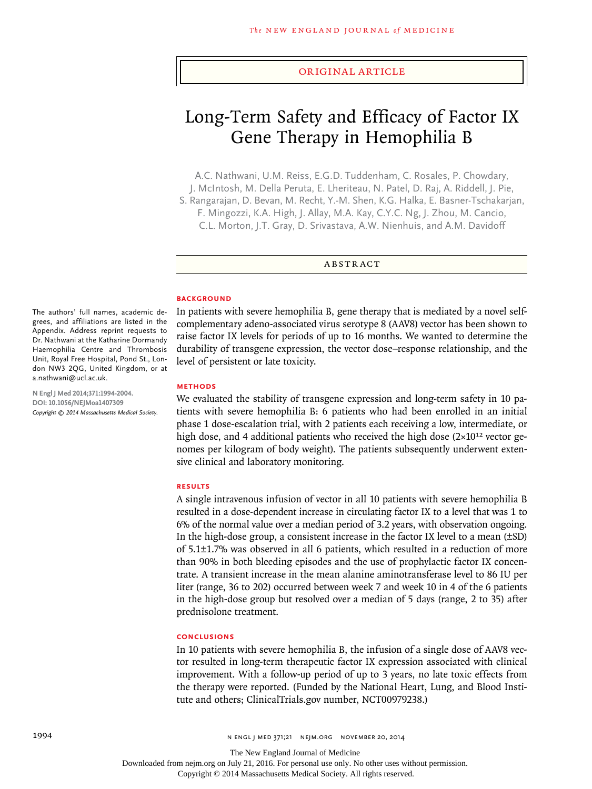#### original article

# Long-Term Safety and Efficacy of Factor IX Gene Therapy in Hemophilia B

A.C. Nathwani, U.M. Reiss, E.G.D. Tuddenham, C. Rosales, P. Chowdary, J. McIntosh, M. Della Peruta, E. Lheriteau, N. Patel, D. Raj, A. Riddell, J. Pie, S. Rangarajan, D. Bevan, M. Recht, Y.-M. Shen, K.G. Halka, E. Basner-Tschakarjan, F. Mingozzi, K.A. High, J. Allay, M.A. Kay, C.Y.C. Ng, J. Zhou, M. Cancio, C.L. Morton, J.T. Gray, D. Srivastava, A.W. Nienhuis, and A.M. Davidoff

ABSTRACT

#### **BACKGROUND**

In patients with severe hemophilia B, gene therapy that is mediated by a novel selfcomplementary adeno-associated virus serotype 8 (AAV8) vector has been shown to raise factor IX levels for periods of up to 16 months. We wanted to determine the durability of transgene expression, the vector dose–response relationship, and the level of persistent or late toxicity.

#### **Methods**

We evaluated the stability of transgene expression and long-term safety in 10 patients with severe hemophilia B: 6 patients who had been enrolled in an initial phase 1 dose-escalation trial, with 2 patients each receiving a low, intermediate, or high dose, and 4 additional patients who received the high dose  $(2\times10^{12} \text{ vector}$  genomes per kilogram of body weight). The patients subsequently underwent extensive clinical and laboratory monitoring.

## **Results**

A single intravenous infusion of vector in all 10 patients with severe hemophilia B resulted in a dose-dependent increase in circulating factor IX to a level that was 1 to 6% of the normal value over a median period of 3.2 years, with observation ongoing. In the high-dose group, a consistent increase in the factor IX level to a mean (±SD) of 5.1±1.7% was observed in all 6 patients, which resulted in a reduction of more than 90% in both bleeding episodes and the use of prophylactic factor IX concentrate. A transient increase in the mean alanine aminotransferase level to 86 IU per liter (range, 36 to 202) occurred between week 7 and week 10 in 4 of the 6 patients in the high-dose group but resolved over a median of 5 days (range, 2 to 35) after prednisolone treatment.

# **Conclusions**

In 10 patients with severe hemophilia B, the infusion of a single dose of AAV8 vector resulted in long-term therapeutic factor IX expression associated with clinical improvement. With a follow-up period of up to 3 years, no late toxic effects from the therapy were reported. (Funded by the National Heart, Lung, and Blood Institute and others; ClinicalTrials.gov number, NCT00979238.)

The authors' full names, academic degrees, and affiliations are listed in the Appendix. Address reprint requests to Dr. Nathwani at the Katharine Dormandy Haemophilia Centre and Thrombosis Unit, Royal Free Hospital, Pond St., London NW3 2QG, United Kingdom, or at a.nathwani@ucl.ac.uk.

**N Engl J Med 2014;371:1994-2004. DOI: 10.1056/NEJMoa1407309** *Copyright © 2014 Massachusetts Medical Society.*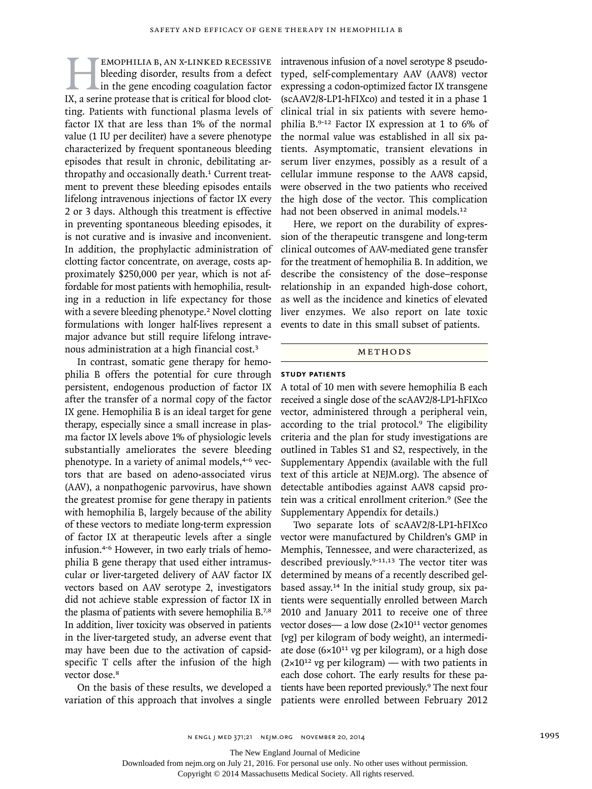**EMOPHILIA B, AN X-LINKED RECESSIVE**<br>bleeding disorder, results from a defect<br>in the gene encoding coagulation factor<br>IX, a serine protease that is critical for blood clotbleeding disorder, results from a defect in the gene encoding coagulation factor ting. Patients with functional plasma levels of factor IX that are less than 1% of the normal value (1 IU per deciliter) have a severe phenotype characterized by frequent spontaneous bleeding episodes that result in chronic, debilitating arthropathy and occasionally death.<sup>1</sup> Current treatment to prevent these bleeding episodes entails lifelong intravenous injections of factor IX every 2 or 3 days. Although this treatment is effective in preventing spontaneous bleeding episodes, it is not curative and is invasive and inconvenient. In addition, the prophylactic administration of clotting factor concentrate, on average, costs approximately \$250,000 per year, which is not affordable for most patients with hemophilia, resulting in a reduction in life expectancy for those with a severe bleeding phenotype.<sup>2</sup> Novel clotting formulations with longer half-lives represent a major advance but still require lifelong intravenous administration at a high financial cost.<sup>3</sup>

In contrast, somatic gene therapy for hemophilia B offers the potential for cure through persistent, endogenous production of factor IX after the transfer of a normal copy of the factor IX gene. Hemophilia B is an ideal target for gene therapy, especially since a small increase in plasma factor IX levels above 1% of physiologic levels substantially ameliorates the severe bleeding phenotype. In a variety of animal models,<sup>4-6</sup> vectors that are based on adeno-associated virus (AAV), a nonpathogenic parvovirus, have shown the greatest promise for gene therapy in patients with hemophilia B, largely because of the ability of these vectors to mediate long-term expression of factor IX at therapeutic levels after a single infusion.4-6 However, in two early trials of hemophilia B gene therapy that used either intramuscular or liver-targeted delivery of AAV factor IX vectors based on AAV serotype 2, investigators did not achieve stable expression of factor IX in the plasma of patients with severe hemophilia B.7,8 In addition, liver toxicity was observed in patients in the liver-targeted study, an adverse event that may have been due to the activation of capsidspecific T cells after the infusion of the high vector dose.<sup>8</sup>

On the basis of these results, we developed a variation of this approach that involves a single intravenous infusion of a novel serotype 8 pseudotyped, self-complementary AAV (AAV8) vector expressing a codon-optimized factor IX transgene (scAAV2/8-LP1-hFIXco) and tested it in a phase 1 clinical trial in six patients with severe hemophilia B.9-12 Factor IX expression at 1 to 6% of the normal value was established in all six patients. Asymptomatic, transient elevations in serum liver enzymes, possibly as a result of a cellular immune response to the AAV8 capsid, were observed in the two patients who received the high dose of the vector. This complication had not been observed in animal models.<sup>12</sup>

Here, we report on the durability of expression of the therapeutic transgene and long-term clinical outcomes of AAV-mediated gene transfer for the treatment of hemophilia B. In addition, we describe the consistency of the dose–response relationship in an expanded high-dose cohort, as well as the incidence and kinetics of elevated liver enzymes. We also report on late toxic events to date in this small subset of patients.

#### METHODS

# **Study Patients**

A total of 10 men with severe hemophilia B each received a single dose of the scAAV2/8-LP1-hFIXco vector, administered through a peripheral vein, according to the trial protocol.<sup>9</sup> The eligibility criteria and the plan for study investigations are outlined in Tables S1 and S2, respectively, in the Supplementary Appendix (available with the full text of this article at NEJM.org). The absence of detectable antibodies against AAV8 capsid protein was a critical enrollment criterion.9 (See the Supplementary Appendix for details.)

Two separate lots of scAAV2/8-LP1-hFIXco vector were manufactured by Children's GMP in Memphis, Tennessee, and were characterized, as described previously.9-11,13 The vector titer was determined by means of a recently described gelbased assay.14 In the initial study group, six patients were sequentially enrolled between March 2010 and January 2011 to receive one of three vector doses— a low dose  $(2\times10^{11} \text{ vector genomes})$ [vg] per kilogram of body weight), an intermediate dose  $(6\times10^{11}$  vg per kilogram), or a high dose  $(2\times10^{12} \text{ v}g \text{ per kilogram})$  — with two patients in each dose cohort. The early results for these patients have been reported previously.9 The next four patients were enrolled between February 2012

The New England Journal of Medicine

Downloaded from nejm.org on July 21, 2016. For personal use only. No other uses without permission.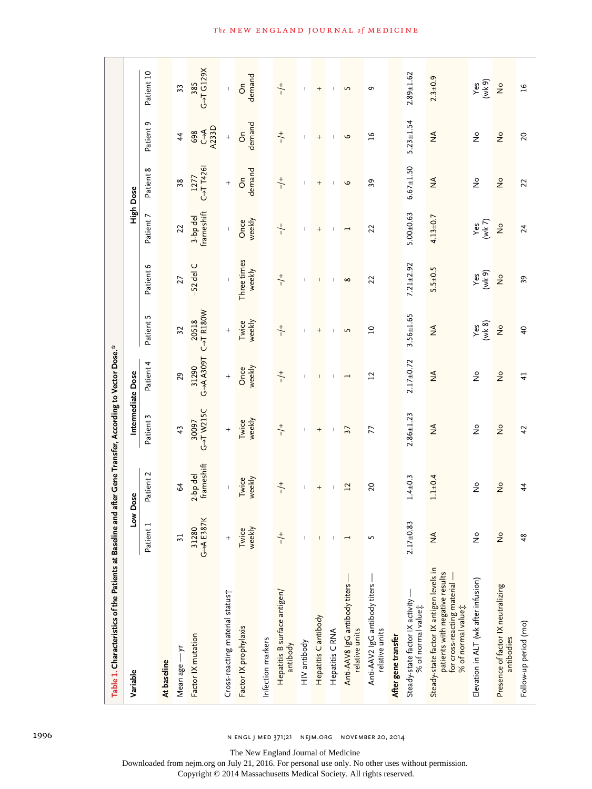| Table 1. Characteristics of the Patients at Baseline and after Gene Transfer, According to Vector Dose.*                          |                            |                                  |                                         |                              |                                                            |                                                |                          |                                     |                            |                                |
|-----------------------------------------------------------------------------------------------------------------------------------|----------------------------|----------------------------------|-----------------------------------------|------------------------------|------------------------------------------------------------|------------------------------------------------|--------------------------|-------------------------------------|----------------------------|--------------------------------|
| Variable                                                                                                                          |                            | Low Dose                         |                                         | Intermediate Dose            |                                                            |                                                |                          | High Dose                           |                            |                                |
|                                                                                                                                   | Patient 1                  | Patient 2                        | Patient 3                               | Patient 4                    | Patient 5                                                  | Patient 6                                      | Patient 7                | Patient 8                           | Patient 9                  | Patient 10                     |
| At baseline                                                                                                                       |                            |                                  |                                         |                              |                                                            |                                                |                          |                                     |                            |                                |
| Mean age -yr                                                                                                                      | $\overline{31}$            | 2                                | 43                                      | 29                           | 32                                                         | 27                                             | $\overline{2}$           | 38                                  | $\ddot{4}$                 | 33                             |
| Factor IX mutation                                                                                                                | G-+A E387K<br>31280        | frameshift<br>2-bp del           | G-TW215C<br>30097                       | G-A A309T<br>31290           | 20518<br>C→T R180W                                         | $-52$ del C                                    | frameshift<br>3-bp del   | $C \rightarrow T$ T426<br>1277      | 698<br>C->A<br>A233D       | $G \rightarrow T G129X$<br>385 |
| Cross-reacting material status?                                                                                                   | $^{+}$                     | $\mathsf{I}$                     | $^{+}$                                  | $^{+}$                       | $\ddot{}$                                                  |                                                | $\mathbf{I}$             | $\! + \!$                           | $\ddot{}$                  | $\mathbf{I}$                   |
| Factor IX prophylaxis                                                                                                             | weekly<br>Twice            | Twice<br>weekly                  | Twice<br>weekly                         | weekly<br>Once               | Twice<br>weekly                                            | Three times<br>weekly                          | Once<br>weekly           | demand<br>$\delta$                  | demand<br>$\delta$         | demand<br>$\delta$             |
| Infection markers                                                                                                                 |                            |                                  |                                         |                              |                                                            |                                                |                          |                                     |                            |                                |
| Hepatitis B surface antigen/<br>antibody                                                                                          | $\frac{+}{-}$              | $+$                              | $\div$                                  | $\div$                       | $\div$                                                     | $\div$                                         | $-/-$                    | $+$                                 | $\div$                     | $+$                            |
| HIV antibody                                                                                                                      |                            | $\mathsf I$                      | L                                       | т                            | 1                                                          | т                                              | т                        | т                                   | 1                          | т                              |
| Hepatitis Cantibody                                                                                                               | $\mathsf I$                | $\begin{array}{c} + \end{array}$ | $^{+}$                                  | $\overline{\phantom{a}}$     | $^{+}$                                                     | $\overline{\phantom{a}}$                       | $\! +$                   | $^{+}$                              | $\! +$                     | $\! + \!\!\!\!$                |
| Hepatitis C RNA                                                                                                                   | $\mathbf{I}$               | $\mathbf{I}$                     | $\mathbf{I}$                            | $\mathbf{I}$                 | $\overline{1}$                                             | $\mathbf{I}$                                   | $\mathbf{I}$             | $\mathbf{I}$                        | $\mathbf{I}$               | л.                             |
| Anti-AAV8 IgG antibody titers-<br>relative units                                                                                  | $\overline{\phantom{0}}$   | $\overline{12}$                  | 37                                      | $\overline{ }$               | 5                                                          | $\infty$                                       | $\overline{\phantom{0}}$ | $\circ$                             | $\circ$                    | $\overline{5}$                 |
| Anti-AAV2 IgG antibody titers -<br>relative units                                                                                 | S                          | $\overline{c}$                   | 77                                      | 12                           | $\square$                                                  | 22                                             | 22                       | 39                                  | $\mathfrak{a}$             | $\sigma$                       |
| After gene transfer                                                                                                               |                            |                                  |                                         |                              |                                                            |                                                |                          |                                     |                            |                                |
| Steady-state factor IX activity<br>% of normal value;                                                                             | $2.17+0.83$                | $1.4 \pm 0.3$                    | $2.86 \pm 1.23$                         | $2.17 + 0.72$                | $3.56 \pm 1.65$                                            | $7.21 + 2.92$                                  | $5.00 + 0.63$            | $6.67 \pm 1.50$                     | $5.23 \pm 1.54$            | $2.89 \pm 1.62$                |
| Steady-state factor IX antigen levels in<br>patients with negative results<br>for cross-reacting material –<br>% of normal value; | $\frac{4}{2}$              | $1.1 \pm 0.4$                    | $\mathop{\mathsf{S}}\limits_\mathsf{Z}$ | $\stackrel{\triangle}{\geq}$ | $\lessgtr$                                                 | $5.5 + 0.5$                                    | $4.13 \pm 0.7$           | $\lessgtr$                          | $\frac{4}{2}$              | $2.3 \pm 0.9$                  |
| Elevation in ALT (wk after infusion)                                                                                              | $\stackrel{\circ}{\simeq}$ | $\stackrel{\circ}{\simeq}$       | $\stackrel{\circ}{\simeq}$              | $\stackrel{\circ}{\simeq}$   | $\begin{array}{c} \text{Yes} \\ (\text{wk 8}) \end{array}$ | $\begin{array}{c}\nYes \\ (Wk 9)\n\end{array}$ | Yes<br>$(Wk 7)$          | $\stackrel{\circ}{\simeq}$          | $\stackrel{\circ}{\simeq}$ | Yes<br>(wk 9)                  |
| Presence of factor IX neutralizing<br>antibodies                                                                                  | $\frac{1}{2}$              | $\frac{1}{2}$                    | $\stackrel{\mathtt{o}}{z}$              | $\frac{1}{2}$                | $\stackrel{\circ}{\simeq}$                                 | $\frac{1}{2}$                                  | $\frac{1}{2}$            | $\stackrel{\mathtt{o}}{\mathsf{z}}$ | $\frac{1}{2}$              | $\frac{1}{2}$                  |
| Follow-up period (mo)                                                                                                             | 48                         | $\overline{\overline{4}}$        | 42                                      | $\overline{4}$               | $\overline{a}$                                             | 59                                             | 24                       | 22                                  | $\overline{c}$             | $\overline{16}$                |

The New England Journal of Medicine

Downloaded from nejm.org on July 21, 2016. For personal use only. No other uses without permission.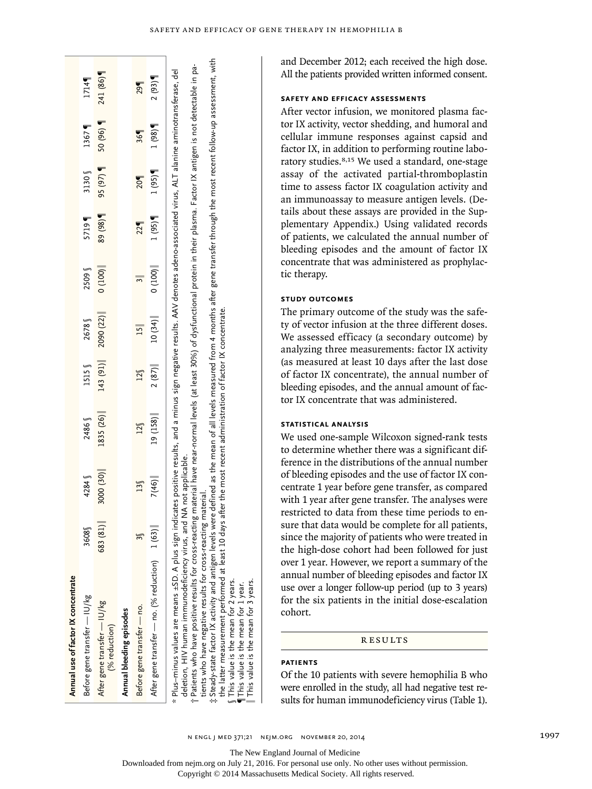| Annual use of factor IX concentrate                                                                                                                                                                                                                                                                                                                                                                                                                                                                                                                                                                                                                                                                                                                                                                                                                                                                                                            |         |                    |           |                   |                 |        |         |         |        |          |
|------------------------------------------------------------------------------------------------------------------------------------------------------------------------------------------------------------------------------------------------------------------------------------------------------------------------------------------------------------------------------------------------------------------------------------------------------------------------------------------------------------------------------------------------------------------------------------------------------------------------------------------------------------------------------------------------------------------------------------------------------------------------------------------------------------------------------------------------------------------------------------------------------------------------------------------------|---------|--------------------|-----------|-------------------|-----------------|--------|---------|---------|--------|----------|
| Before gene transfer — IU/kg                                                                                                                                                                                                                                                                                                                                                                                                                                                                                                                                                                                                                                                                                                                                                                                                                                                                                                                   | 3608    | 4284               | 2486      | 1515 <sub>0</sub> | 2678            | 2509   | 5719    | 3130    | 1367   | 1714     |
| After gene transfer - IU/kg<br>(% reduction)                                                                                                                                                                                                                                                                                                                                                                                                                                                                                                                                                                                                                                                                                                                                                                                                                                                                                                   | 683(81) | 3000 (30)          | 1835 (26) | 143 (91)          | 2090 (22)       | 0(100) | 89 (98) | 95 (97) | 50(96) | 241 (86) |
| Annual bleeding episodes                                                                                                                                                                                                                                                                                                                                                                                                                                                                                                                                                                                                                                                                                                                                                                                                                                                                                                                       |         |                    |           |                   |                 |        |         |         |        |          |
| Before gene transfer - no.                                                                                                                                                                                                                                                                                                                                                                                                                                                                                                                                                                                                                                                                                                                                                                                                                                                                                                                     |         | $13\%$             | 12        | $12\%$            | $\overline{15}$ |        | 22      | 20      | 369    | 29       |
| After gene transfer — no. (% reduction) 1 (63)                                                                                                                                                                                                                                                                                                                                                                                                                                                                                                                                                                                                                                                                                                                                                                                                                                                                                                 |         | 7(46)              | 19 (158)  | 2(87)             | 10(34)          | 0(100) | 1(95)   | 1(95)   | 1(98)  | 2(93)    |
| t Steady-state factor IX activity and antigen levels were defined as the mean of all levels measured from 4 months after gene transfer through the most recent follow-up assessment, with<br>† Patients who have positive results for cross-reacting material have near-normal levels (at least 30%) of dysfunctional protein in their plasma. Factor IX antigen is not detectable in pa-<br>* Plus-minus values are means ±SD. A plus sign indicates positive results, and a minus sign negative results. AAV denotes adeno-associated virus, ALT alanine aminotransferase, del<br>the latter measurement performed at least 10 days after the most recent administration of factor IX concentrate.<br>tients who have negative results for cross-reacting material.<br>deletion, HIV human immunodeficiency virus, and I<br>This value is the mean for 2 years.<br>This value is the mean for 3 years.<br>This value is the mean for 1 year. |         | NA not applicable. |           |                   |                 |        |         |         |        |          |

and December 2012; each received the high dose. All the patients provided written informed consent.

# **Safety and Efficacy Assessments**

After vector infusion, we monitored plasma fac tor IX activity, vector shedding, and humoral and cellular immune responses against capsid and factor IX, in addition to performing routine labo ratory studies.8,15 We used a standard, one-stage assay of the activated partial-thromboplastin time to assess factor IX coagulation activity and an immunoassay to measure antigen levels. (De tails about these assays are provided in the Sup plementary Appendix.) Using validated records of patients, we calculated the annual number of bleeding episodes and the amount of factor IX concentrate that was administered as prophylac tic therapy.

# **Study Outcomes**

The primary outcome of the study was the safe ty of vector infusion at the three different doses. We assessed efficacy (a secondary outcome) by analyzing three measurements: factor IX activity (as measured at least 10 days after the last dose of factor IX concentrate), the annual number of bleeding episodes, and the annual amount of fac tor IX concentrate that was administered.

# **Statistical Analysis**

We used one-sample Wilcoxon signed-rank tests to determine whether there was a significant difference in the distributions of the annual number of bleeding episodes and the use of factor IX con centrate 1 year before gene transfer, as compared with 1 year after gene transfer. The analyses were restricted to data from these time periods to en sure that data would be complete for all patients, since the majority of patients who were treated in the high-dose cohort had been followed for just over 1 year. However, we report a summary of the annual number of bleeding episodes and factor IX use over a longer follow-up period (up to 3 years) for the six patients in the initial dose-escalation cohort.

# **RESULTS**

# **Patients**

Of the 10 patients with severe hemophilia B who were enrolled in the study, all had negative test re sults for human immunodeficiency virus (Table 1).

n engl j med 371;21 nejm.org november 20, 2014 1997

The New England Journal of Medicine

Downloaded from nejm.org on July 21, 2016. For personal use only. No other uses without permission.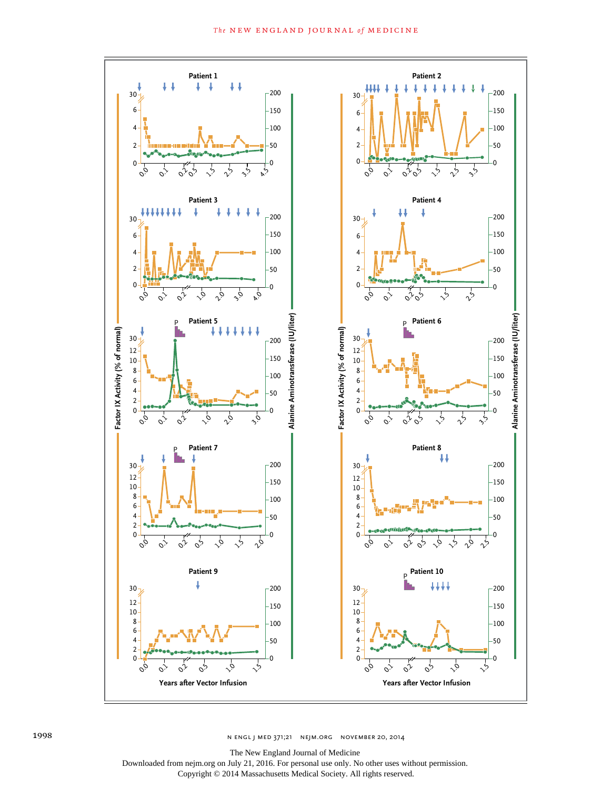

The New England Journal of Medicine

Downloaded from nejm.org on July 21, 2016. For personal use only. No other uses without permission.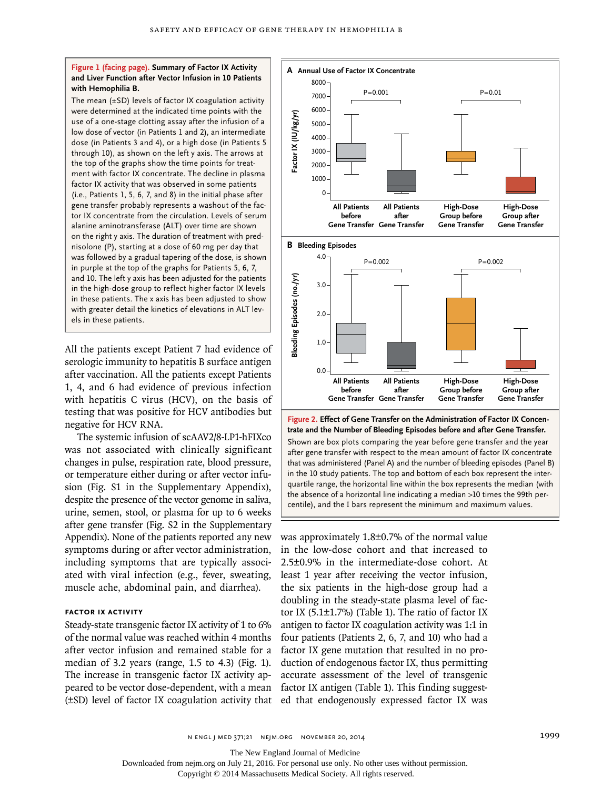## **Figure 1 (facing page). Summary of Factor IX Activity and Liver Function after Vector Infusion in 10 Patients with Hemophilia B.**

The mean (±SD) levels of factor IX coagulation activity were determined at the indicated time points with the use of a one-stage clotting assay after the infusion of a low dose of vector (in Patients 1 and 2), an intermediate dose (in Patients 3 and 4), or a high dose (in Patients 5 through 10), as shown on the left y axis. The arrows at the top of the graphs show the time points for treatment with factor IX concentrate. The decline in plasma factor IX activity that was observed in some patients (i.e., Patients 1, 5, 6, 7, and 8) in the initial phase after gene transfer probably represents a washout of the factor IX concentrate from the circulation. Levels of serum alanine aminotransferase (ALT) over time are shown on the right y axis. The duration of treatment with prednisolone (P), starting at a dose of 60 mg per day that was followed by a gradual tapering of the dose, is shown in purple at the top of the graphs for Patients 5, 6, 7, and 10. The left y axis has been adjusted for the patients in the high-dose group to reflect higher factor IX levels in these patients. The x axis has been adjusted to show with greater detail the kinetics of elevations in ALT levels in these patients.

All the patients except Patient 7 had evidence of serologic immunity to hepatitis B surface antigen after vaccination. All the patients except Patients 1, 4, and 6 had evidence of previous infection with hepatitis C virus (HCV), on the basis of testing that was positive for HCV antibodies but negative for HCV RNA.

The systemic infusion of scAAV2/8-LP1-hFIXco was not associated with clinically significant changes in pulse, respiration rate, blood pressure, or temperature either during or after vector infusion (Fig. S1 in the Supplementary Appendix), despite the presence of the vector genome in saliva, urine, semen, stool, or plasma for up to 6 weeks after gene transfer (Fig. S2 in the Supplementary Appendix). None of the patients reported any new symptoms during or after vector administration, including symptoms that are typically associated with viral infection (e.g., fever, sweating, muscle ache, abdominal pain, and diarrhea).

#### **Factor iX Activity**

Steady-state transgenic factor IX activity of 1 to 6% of the normal value was reached within 4 months after vector infusion and remained stable for a median of 3.2 years (range, 1.5 to 4.3) (Fig. 1). The increase in transgenic factor IX activity appeared to be vector dose-dependent, with a mean (±SD) level of factor IX coagulation activity that



after gene transfer with respect to the mean amount of factor IX concentrate that was administered (Panel A) and the number of bleeding episodes (Panel B) in the 10 study patients. The top and bottom of each box represent the interquartile range, the horizontal line within the box represents the median (with the absence of a horizontal line indicating a median >10 times the 99th percentile), and the I bars represent the minimum and maximum values.

was approximately 1.8±0.7% of the normal value in the low-dose cohort and that increased to 2.5±0.9% in the intermediate-dose cohort. At least 1 year after receiving the vector infusion, the six patients in the high-dose group had a doubling in the steady-state plasma level of factor IX (5.1±1.7%) (Table 1). The ratio of factor IX antigen to factor IX coagulation activity was 1:1 in four patients (Patients 2, 6, 7, and 10) who had a factor IX gene mutation that resulted in no production of endogenous factor IX, thus permitting accurate assessment of the level of transgenic factor IX antigen (Table 1). This finding suggested that endogenously expressed factor IX was

n engl j med 371;21 nejm.org november 20, 2014 1999

The New England Journal of Medicine

Downloaded from nejm.org on July 21, 2016. For personal use only. No other uses without permission.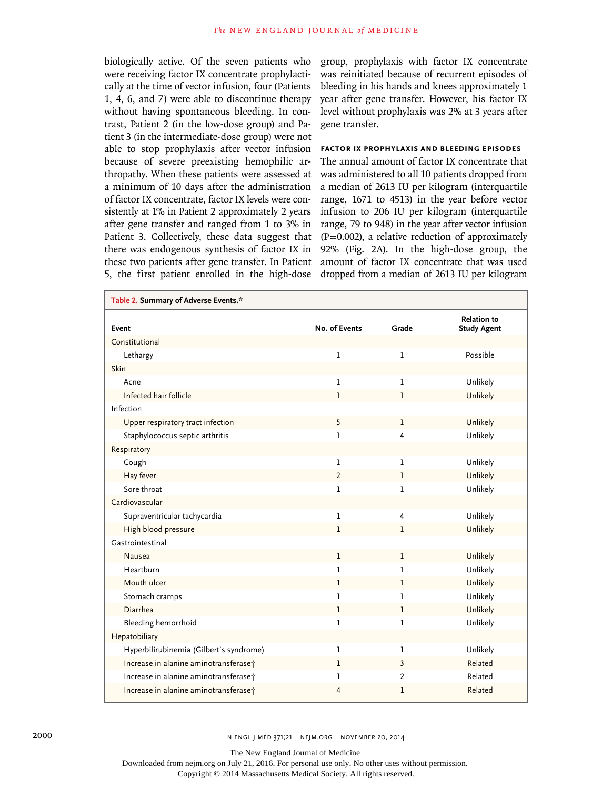biologically active. Of the seven patients who were receiving factor IX concentrate prophylactically at the time of vector infusion, four (Patients 1, 4, 6, and 7) were able to discontinue therapy without having spontaneous bleeding. In contrast, Patient 2 (in the low-dose group) and Patient 3 (in the intermediate-dose group) were not able to stop prophylaxis after vector infusion because of severe preexisting hemophilic arthropathy. When these patients were assessed at a minimum of 10 days after the administration of factor IX concentrate, factor IX levels were consistently at 1% in Patient 2 approximately 2 years after gene transfer and ranged from 1 to 3% in Patient 3. Collectively, these data suggest that there was endogenous synthesis of factor IX in these two patients after gene transfer. In Patient 5, the first patient enrolled in the high-dose group, prophylaxis with factor IX concentrate was reinitiated because of recurrent episodes of bleeding in his hands and knees approximately 1 year after gene transfer. However, his factor IX level without prophylaxis was 2% at 3 years after gene transfer.

# **Factor IX Prophylaxis and Bleeding Episodes**

The annual amount of factor IX concentrate that was administered to all 10 patients dropped from a median of 2613 IU per kilogram (interquartile range, 1671 to 4513) in the year before vector infusion to 206 IU per kilogram (interquartile range, 79 to 948) in the year after vector infusion  $(P=0.002)$ , a relative reduction of approximately 92% (Fig. 2A). In the high-dose group, the amount of factor IX concentrate that was used dropped from a median of 2613 IU per kilogram

| Table 2. Summary of Adverse Events.*    |                |              |                                          |
|-----------------------------------------|----------------|--------------|------------------------------------------|
| Event                                   | No. of Events  | Grade        | <b>Relation to</b><br><b>Study Agent</b> |
| Constitutional                          |                |              |                                          |
| Lethargy                                | ı              | 1            | Possible                                 |
| Skin                                    |                |              |                                          |
| Acne                                    | 1              | 1            | Unlikely                                 |
| Infected hair follicle                  | 1              | $\mathbf{1}$ | Unlikely                                 |
| Infection                               |                |              |                                          |
| Upper respiratory tract infection       | 5              | 1            | Unlikely                                 |
| Staphylococcus septic arthritis         | 1              | 4            | Unlikely                                 |
| Respiratory                             |                |              |                                          |
| Cough                                   | 1              | 1            | Unlikely                                 |
| Hay fever                               | $\overline{2}$ | 1            | Unlikely                                 |
| Sore throat                             | 1              | 1            | Unlikely                                 |
| Cardiovascular                          |                |              |                                          |
| Supraventricular tachycardia            | 1              | 4            | Unlikely                                 |
| High blood pressure                     | 1              | 1            | Unlikely                                 |
| Gastrointestinal                        |                |              |                                          |
| Nausea                                  | $\mathbf{1}$   | $\mathbf 1$  | Unlikely                                 |
| Heartburn                               | 1              | 1            | Unlikely                                 |
| Mouth ulcer                             | 1              | 1            | Unlikely                                 |
| Stomach cramps                          | 1              | 1            | Unlikely                                 |
| Diarrhea                                | 1              | 1            | Unlikely                                 |
| Bleeding hemorrhoid                     | 1              | 1            | Unlikely                                 |
| Hepatobiliary                           |                |              |                                          |
| Hyperbilirubinemia (Gilbert's syndrome) | 1              | 1            | Unlikely                                 |
| Increase in alanine aminotransferaset   | 1              | 3            | Related                                  |
| Increase in alanine aminotransferaset   | 1              | 2            | Related                                  |
| Increase in alanine aminotransferase;   | 4              | 1            | Related                                  |

The New England Journal of Medicine

Downloaded from nejm.org on July 21, 2016. For personal use only. No other uses without permission.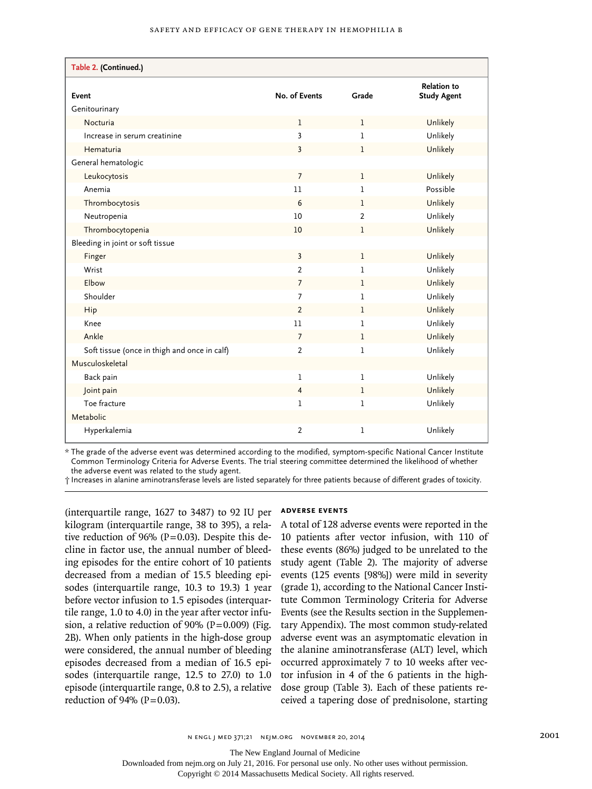| Table 2. (Continued.)                        |                |              |                                          |
|----------------------------------------------|----------------|--------------|------------------------------------------|
| Event                                        | No. of Events  | Grade        | <b>Relation to</b><br><b>Study Agent</b> |
| Genitourinary                                |                |              |                                          |
| Nocturia                                     | $\mathbf{1}$   | $\mathbf{1}$ | Unlikely                                 |
| Increase in serum creatinine                 | 3              | 1            | Unlikely                                 |
| Hematuria                                    | 3              | 1            | Unlikely                                 |
| General hematologic                          |                |              |                                          |
| Leukocytosis                                 | $\overline{7}$ | 1            | Unlikely                                 |
| Anemia                                       | 11             | 1            | Possible                                 |
| Thrombocytosis                               | 6              | $\mathbf{1}$ | Unlikely                                 |
| Neutropenia                                  | 10             | 2            | Unlikely                                 |
| Thrombocytopenia                             | 10             | 1            | Unlikely                                 |
| Bleeding in joint or soft tissue             |                |              |                                          |
| Finger                                       | $\overline{3}$ | $\mathbf{1}$ | Unlikely                                 |
| Wrist                                        | $\overline{2}$ | 1            | Unlikely                                 |
| Elbow                                        | 7              | $\mathbf{1}$ | Unlikely                                 |
| Shoulder                                     | 7              | 1            | Unlikely                                 |
| Hip                                          | $\overline{2}$ | 1            | Unlikely                                 |
| Knee                                         | 11             | 1            | Unlikely                                 |
| Ankle                                        | $\overline{7}$ | 1            | Unlikely                                 |
| Soft tissue (once in thigh and once in calf) | $\overline{2}$ | 1            | Unlikely                                 |
| Musculoskeletal                              |                |              |                                          |
| Back pain                                    | 1              | 1            | Unlikely                                 |
| Joint pain                                   | 4              | 1            | Unlikely                                 |
| Toe fracture                                 | 1              | 1            | Unlikely                                 |
| Metabolic                                    |                |              |                                          |
| Hyperkalemia                                 | $\overline{2}$ | 1            | Unlikely                                 |

\* The grade of the adverse event was determined according to the modified, symptom-specific National Cancer Institute Common Terminology Criteria for Adverse Events. The trial steering committee determined the likelihood of whether the adverse event was related to the study agent.

† Increases in alanine aminotransferase levels are listed separately for three patients because of different grades of toxicity.

(interquartile range, 1627 to 3487) to 92 IU per kilogram (interquartile range, 38 to 395), a relative reduction of 96% ( $P=0.03$ ). Despite this decline in factor use, the annual number of bleeding episodes for the entire cohort of 10 patients decreased from a median of 15.5 bleeding episodes (interquartile range, 10.3 to 19.3) 1 year before vector infusion to 1.5 episodes (interquartile range, 1.0 to 4.0) in the year after vector infusion, a relative reduction of 90% (P=0.009) (Fig. 2B). When only patients in the high-dose group were considered, the annual number of bleeding episodes decreased from a median of 16.5 episodes (interquartile range, 12.5 to 27.0) to 1.0 episode (interquartile range, 0.8 to 2.5), a relative reduction of 94% ( $P = 0.03$ ).

#### **Adverse Events**

A total of 128 adverse events were reported in the 10 patients after vector infusion, with 110 of these events (86%) judged to be unrelated to the study agent (Table 2). The majority of adverse events (125 events [98%]) were mild in severity (grade 1), according to the National Cancer Institute Common Terminology Criteria for Adverse Events (see the Results section in the Supplementary Appendix). The most common study-related adverse event was an asymptomatic elevation in the alanine aminotransferase (ALT) level, which occurred approximately 7 to 10 weeks after vector infusion in 4 of the 6 patients in the highdose group (Table 3). Each of these patients received a tapering dose of prednisolone, starting

The New England Journal of Medicine

Downloaded from nejm.org on July 21, 2016. For personal use only. No other uses without permission.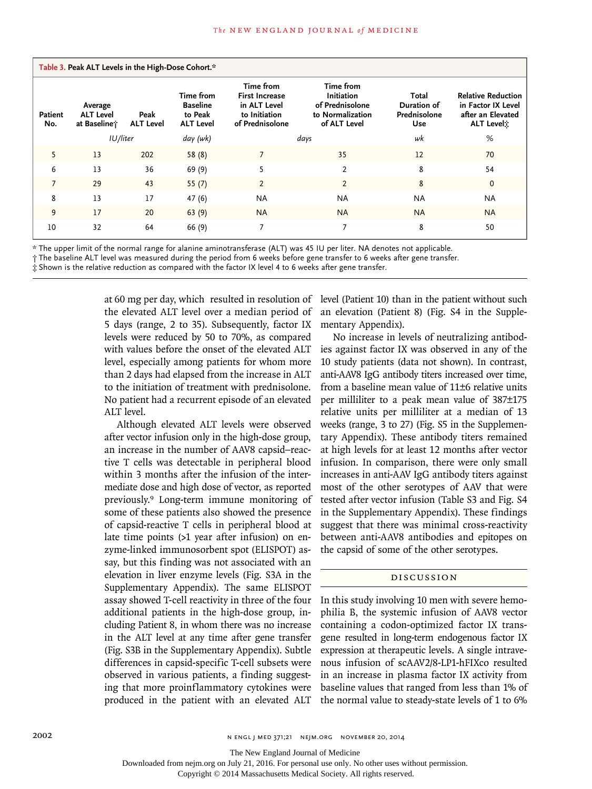| Patient<br>No. | Average<br><b>ALT Level</b><br>at Baseline; | Peak<br><b>ALT Level</b> | Time from<br><b>Baseline</b><br>to Peak<br><b>ALT Level</b> | Time from<br><b>First Increase</b><br>in ALT Level<br>to Initiation<br>of Prednisolone | Time from<br>Initiation<br>of Prednisolone<br>to Normalization<br>of ALT Level | Total<br>Duration of<br>Prednisolone<br>Use | <b>Relative Reduction</b><br>in Factor IX Level<br>after an Elevated<br>ALT Level: |
|----------------|---------------------------------------------|--------------------------|-------------------------------------------------------------|----------------------------------------------------------------------------------------|--------------------------------------------------------------------------------|---------------------------------------------|------------------------------------------------------------------------------------|
|                | IU/liter                                    |                          | day (wk)                                                    |                                                                                        | days                                                                           | wk                                          | %                                                                                  |
| 5              | 13                                          | 202                      | 58(8)                                                       |                                                                                        | 35                                                                             | 12                                          | 70                                                                                 |
| 6              | 13                                          | 36                       | 69 (9)                                                      | 5                                                                                      | $\overline{2}$                                                                 | 8                                           | 54                                                                                 |
| $\overline{7}$ | 29                                          | 43                       | 55 $(7)$                                                    | 2                                                                                      | $\overline{2}$                                                                 | 8                                           | $\mathbf 0$                                                                        |
| 8              | 13                                          | 17                       | 47 (6)                                                      | NA                                                                                     | <b>NA</b>                                                                      | <b>NA</b>                                   | <b>NA</b>                                                                          |
| 9              | 17                                          | 20                       | 63(9)                                                       | <b>NA</b>                                                                              | <b>NA</b>                                                                      | <b>NA</b>                                   | <b>NA</b>                                                                          |
| 10             | 32                                          | 64                       | 66 (9)                                                      | 7                                                                                      | 7                                                                              | 8                                           | 50                                                                                 |

\* The upper limit of the normal range for alanine aminotransferase (ALT) was 45 IU per liter. NA denotes not applicable.

† The baseline ALT level was measured during the period from 6 weeks before gene transfer to 6 weeks after gene transfer.

‡ Shown is the relative reduction as compared with the factor IX level 4 to 6 weeks after gene transfer.

at 60 mg per day, which ºresulted in resolution of the elevated ALT level over a median period of 5 days (range, 2 to 35). Subsequently, factor IX levels were reduced by 50 to 70%, as compared with values before the onset of the elevated ALT level, especially among patients for whom more than 2 days had elapsed from the increase in ALT to the initiation of treatment with prednisolone. No patient had a recurrent episode of an elevated ALT level.

Although elevated ALT levels were observed after vector infusion only in the high-dose group, an increase in the number of AAV8 capsid−reactive T cells was detectable in peripheral blood within 3 months after the infusion of the intermediate dose and high dose of vector, as reported previously.9 Long-term immune monitoring of some of these patients also showed the presence of capsid-reactive T cells in peripheral blood at late time points (>1 year after infusion) on enzyme-linked immunosorbent spot (ELISPOT) assay, but this finding was not associated with an elevation in liver enzyme levels (Fig. S3A in the Supplementary Appendix). The same ELISPOT assay showed T-cell reactivity in three of the four additional patients in the high-dose group, including Patient 8, in whom there was no increase in the ALT level at any time after gene transfer (Fig. S3B in the Supplementary Appendix). Subtle differences in capsid-specific T-cell subsets were observed in various patients, a finding suggesting that more proinflammatory cytokines were produced in the patient with an elevated ALT

level (Patient 10) than in the patient without such an elevation (Patient 8) (Fig. S4 in the Supplementary Appendix).

No increase in levels of neutralizing antibodies against factor IX was observed in any of the 10 study patients (data not shown). In contrast, anti-AAV8 IgG antibody titers increased over time, from a baseline mean value of 11±6 relative units per milliliter to a peak mean value of 387±175 relative units per milliliter at a median of 13 weeks (range, 3 to 27) (Fig. S5 in the Supplementary Appendix). These antibody titers remained at high levels for at least 12 months after vector infusion. In comparison, there were only small increases in anti-AAV IgG antibody titers against most of the other serotypes of AAV that were tested after vector infusion (Table S3 and Fig. S4 in the Supplementary Appendix). These findings suggest that there was minimal cross-reactivity between anti-AAV8 antibodies and epitopes on the capsid of some of the other serotypes.

# Discussion

In this study involving 10 men with severe hemophilia B, the systemic infusion of AAV8 vector containing a codon-optimized factor IX transgene resulted in long-term endogenous factor IX expression at therapeutic levels. A single intravenous infusion of scAAV2/8-LP1-hFIXco resulted in an increase in plasma factor IX activity from baseline values that ranged from less than 1% of the normal value to steady-state levels of 1 to 6%

Downloaded from nejm.org on July 21, 2016. For personal use only. No other uses without permission.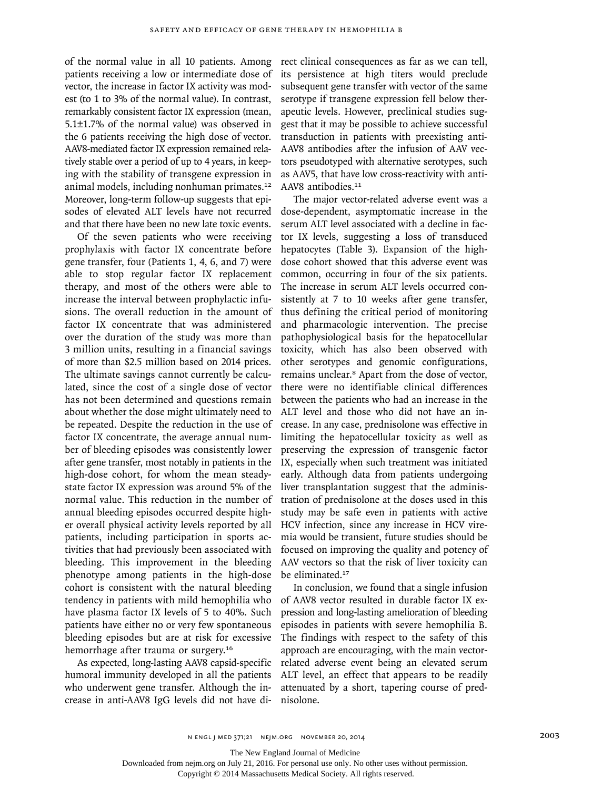of the normal value in all 10 patients. Among patients receiving a low or intermediate dose of vector, the increase in factor IX activity was modest (to 1 to 3% of the normal value). In contrast, remarkably consistent factor IX expression (mean, 5.1±1.7% of the normal value) was observed in the 6 patients receiving the high dose of vector. AAV8-mediated factor IX expression remained relatively stable over a period of up to 4 years, in keeping with the stability of transgene expression in animal models, including nonhuman primates.<sup>12</sup> Moreover, long-term follow-up suggests that episodes of elevated ALT levels have not recurred and that there have been no new late toxic events.

Of the seven patients who were receiving prophylaxis with factor IX concentrate before gene transfer, four (Patients 1, 4, 6, and 7) were able to stop regular factor IX replacement therapy, and most of the others were able to increase the interval between prophylactic infusions. The overall reduction in the amount of factor IX concentrate that was administered over the duration of the study was more than 3 million units, resulting in a financial savings of more than \$2.5 million based on 2014 prices. The ultimate savings cannot currently be calculated, since the cost of a single dose of vector has not been determined and questions remain about whether the dose might ultimately need to be repeated. Despite the reduction in the use of factor IX concentrate, the average annual number of bleeding episodes was consistently lower after gene transfer, most notably in patients in the high-dose cohort, for whom the mean steadystate factor IX expression was around 5% of the normal value. This reduction in the number of annual bleeding episodes occurred despite higher overall physical activity levels reported by all patients, including participation in sports activities that had previously been associated with bleeding. This improvement in the bleeding phenotype among patients in the high-dose cohort is consistent with the natural bleeding tendency in patients with mild hemophilia who have plasma factor IX levels of 5 to 40%. Such patients have either no or very few spontaneous bleeding episodes but are at risk for excessive hemorrhage after trauma or surgery.<sup>16</sup>

As expected, long-lasting AAV8 capsid-specific humoral immunity developed in all the patients who underwent gene transfer. Although the increase in anti-AAV8 IgG levels did not have direct clinical consequences as far as we can tell, its persistence at high titers would preclude subsequent gene transfer with vector of the same serotype if transgene expression fell below therapeutic levels. However, preclinical studies suggest that it may be possible to achieve successful transduction in patients with preexisting anti-AAV8 antibodies after the infusion of AAV vectors pseudotyped with alternative serotypes, such as AAV5, that have low cross-reactivity with anti-AAV8 antibodies.<sup>11</sup>

The major vector-related adverse event was a dose-dependent, asymptomatic increase in the serum ALT level associated with a decline in factor IX levels, suggesting a loss of transduced hepatocytes (Table 3). Expansion of the highdose cohort showed that this adverse event was common, occurring in four of the six patients. The increase in serum ALT levels occurred consistently at 7 to 10 weeks after gene transfer, thus defining the critical period of monitoring and pharmacologic intervention. The precise pathophysiological basis for the hepatocellular toxicity, which has also been observed with other serotypes and genomic configurations, remains unclear.8 Apart from the dose of vector, there were no identifiable clinical differences between the patients who had an increase in the ALT level and those who did not have an increase. In any case, prednisolone was effective in limiting the hepatocellular toxicity as well as preserving the expression of transgenic factor IX, especially when such treatment was initiated early. Although data from patients undergoing liver transplantation suggest that the administration of prednisolone at the doses used in this study may be safe even in patients with active HCV infection, since any increase in HCV viremia would be transient, future studies should be focused on improving the quality and potency of AAV vectors so that the risk of liver toxicity can be eliminated.<sup>17</sup>

In conclusion, we found that a single infusion of AAV8 vector resulted in durable factor IX expression and long-lasting amelioration of bleeding episodes in patients with severe hemophilia B. The findings with respect to the safety of this approach are encouraging, with the main vectorrelated adverse event being an elevated serum ALT level, an effect that appears to be readily attenuated by a short, tapering course of prednisolone.

The New England Journal of Medicine

Downloaded from nejm.org on July 21, 2016. For personal use only. No other uses without permission.